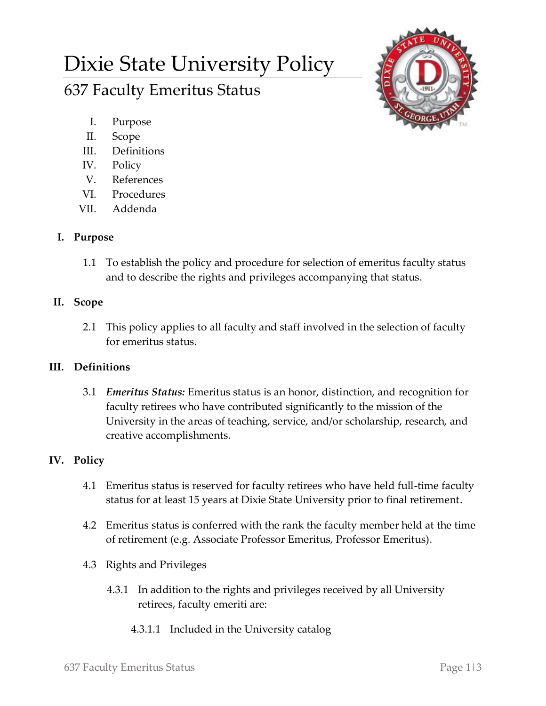# Dixie State University Policy

## 637 Faculty Emeritus Status

- I. Purpose
- II. Scope
- III. Definitions
- IV. Policy
- V. References
- VI. Procedures
- VII. Addenda

### **I. Purpose**

1.1 To establish the policy and procedure for selection of emeritus faculty status and to describe the rights and privileges accompanying that status.

### **II. Scope**

2.1 This policy applies to all faculty and staff involved in the selection of faculty for emeritus status.

## **III. Definitions**

3.1 *Emeritus Status:* Emeritus status is an honor, distinction, and recognition for faculty retirees who have contributed significantly to the mission of the University in the areas of teaching, service, and/or scholarship, research, and creative accomplishments.

## **IV. Policy**

- 4.1 Emeritus status is reserved for faculty retirees who have held full-time faculty status for at least 15 years at Dixie State University prior to final retirement.
- 4.2 Emeritus status is conferred with the rank the faculty member held at the time of retirement (e.g. Associate Professor Emeritus, Professor Emeritus).
- 4.3 Rights and Privileges
	- 4.3.1 In addition to the rights and privileges received by all University retirees, faculty emeriti are:
		- 4.3.1.1 Included in the University catalog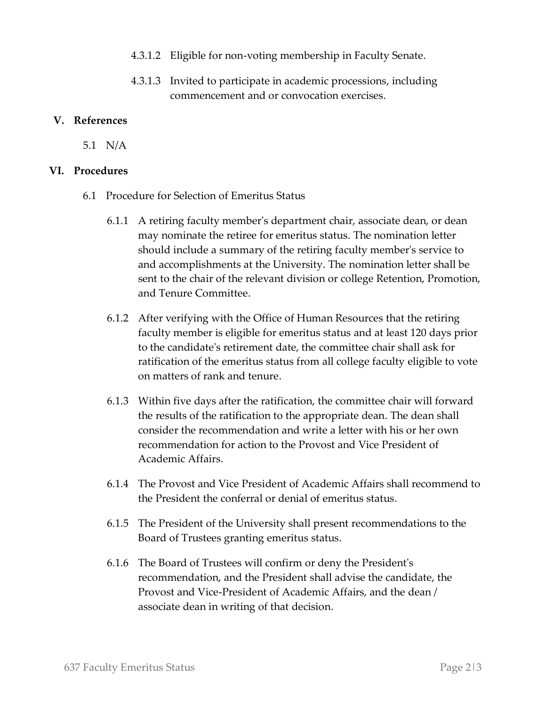- 4.3.1.2 Eligible for non-voting membership in Faculty Senate.
- 4.3.1.3 Invited to participate in academic processions, including commencement and or convocation exercises.

#### **V. References**

5.1 N/A

#### **VI. Procedures**

- 6.1 Procedure for Selection of Emeritus Status
	- 6.1.1 A retiring faculty member's department chair, associate dean, or dean may nominate the retiree for emeritus status. The nomination letter should include a summary of the retiring faculty member's service to and accomplishments at the University. The nomination letter shall be sent to the chair of the relevant division or college Retention, Promotion, and Tenure Committee.
	- 6.1.2 After verifying with the Office of Human Resources that the retiring faculty member is eligible for emeritus status and at least 120 days prior to the candidate's retirement date, the committee chair shall ask for ratification of the emeritus status from all college faculty eligible to vote on matters of rank and tenure.
	- 6.1.3 Within five days after the ratification, the committee chair will forward the results of the ratification to the appropriate dean. The dean shall consider the recommendation and write a letter with his or her own recommendation for action to the Provost and Vice President of Academic Affairs.
	- 6.1.4 The Provost and Vice President of Academic Affairs shall recommend to the President the conferral or denial of emeritus status.
	- 6.1.5 The President of the University shall present recommendations to the Board of Trustees granting emeritus status.
	- 6.1.6 The Board of Trustees will confirm or deny the President's recommendation, and the President shall advise the candidate, the Provost and Vice-President of Academic Affairs, and the dean / associate dean in writing of that decision.